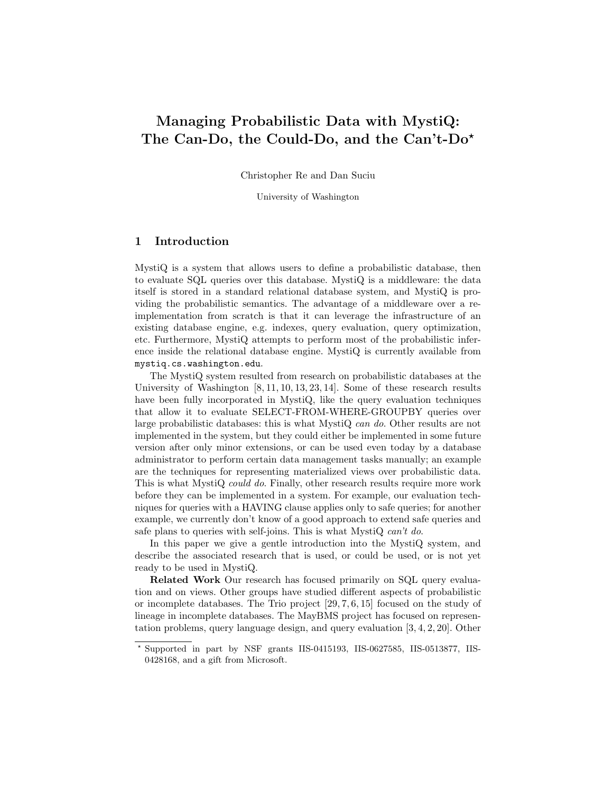# Managing Probabilistic Data with MystiQ: The Can-Do, the Could-Do, and the Can't-Do<sup>\*</sup>

Christopher Re and Dan Suciu

University of Washington

### 1 Introduction

MystiQ is a system that allows users to define a probabilistic database, then to evaluate SQL queries over this database. MystiQ is a middleware: the data itself is stored in a standard relational database system, and MystiQ is providing the probabilistic semantics. The advantage of a middleware over a reimplementation from scratch is that it can leverage the infrastructure of an existing database engine, e.g. indexes, query evaluation, query optimization, etc. Furthermore, MystiQ attempts to perform most of the probabilistic inference inside the relational database engine. MystiQ is currently available from mystiq.cs.washington.edu.

The MystiQ system resulted from research on probabilistic databases at the University of Washington [8, 11, 10, 13, 23, 14]. Some of these research results have been fully incorporated in MystiQ, like the query evaluation techniques that allow it to evaluate SELECT-FROM-WHERE-GROUPBY queries over large probabilistic databases: this is what MystiQ can do. Other results are not implemented in the system, but they could either be implemented in some future version after only minor extensions, or can be used even today by a database administrator to perform certain data management tasks manually; an example are the techniques for representing materialized views over probabilistic data. This is what MystiQ could do. Finally, other research results require more work before they can be implemented in a system. For example, our evaluation techniques for queries with a HAVING clause applies only to safe queries; for another example, we currently don't know of a good approach to extend safe queries and safe plans to queries with self-joins. This is what MystiQ can't do.

In this paper we give a gentle introduction into the MystiQ system, and describe the associated research that is used, or could be used, or is not yet ready to be used in MystiQ.

Related Work Our research has focused primarily on SQL query evaluation and on views. Other groups have studied different aspects of probabilistic or incomplete databases. The Trio project [29, 7, 6, 15] focused on the study of lineage in incomplete databases. The MayBMS project has focused on representation problems, query language design, and query evaluation [3, 4, 2, 20]. Other

<sup>?</sup> Supported in part by NSF grants IIS-0415193, IIS-0627585, IIS-0513877, IIS-0428168, and a gift from Microsoft.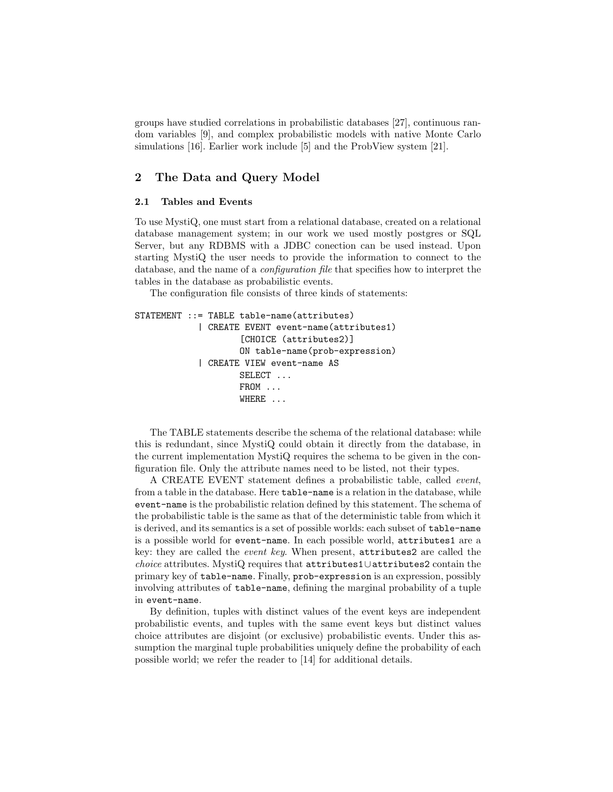groups have studied correlations in probabilistic databases [27], continuous random variables [9], and complex probabilistic models with native Monte Carlo simulations [16]. Earlier work include [5] and the ProbView system [21].

### 2 The Data and Query Model

### 2.1 Tables and Events

To use MystiQ, one must start from a relational database, created on a relational database management system; in our work we used mostly postgres or SQL Server, but any RDBMS with a JDBC conection can be used instead. Upon starting MystiQ the user needs to provide the information to connect to the database, and the name of a *configuration file* that specifies how to interpret the tables in the database as probabilistic events.

The configuration file consists of three kinds of statements:

```
STATEMENT ::= TABLE table-name(attributes)
            | CREATE EVENT event-name(attributes1)
                     [CHOICE (attributes2)]
                    ON table-name(prob-expression)
            | CREATE VIEW event-name AS
                    SELECT ...
                    FROM ...
                    WHERE ...
```
The TABLE statements describe the schema of the relational database: while this is redundant, since MystiQ could obtain it directly from the database, in the current implementation MystiQ requires the schema to be given in the configuration file. Only the attribute names need to be listed, not their types.

A CREATE EVENT statement defines a probabilistic table, called event, from a table in the database. Here table-name is a relation in the database, while event-name is the probabilistic relation defined by this statement. The schema of the probabilistic table is the same as that of the deterministic table from which it is derived, and its semantics is a set of possible worlds: each subset of table-name is a possible world for event-name. In each possible world, attributes1 are a key: they are called the event key. When present, attributes2 are called the choice attributes. MystiQ requires that attributes1∪attributes2 contain the primary key of table-name. Finally, prob-expression is an expression, possibly involving attributes of table-name, defining the marginal probability of a tuple in event-name.

By definition, tuples with distinct values of the event keys are independent probabilistic events, and tuples with the same event keys but distinct values choice attributes are disjoint (or exclusive) probabilistic events. Under this assumption the marginal tuple probabilities uniquely define the probability of each possible world; we refer the reader to [14] for additional details.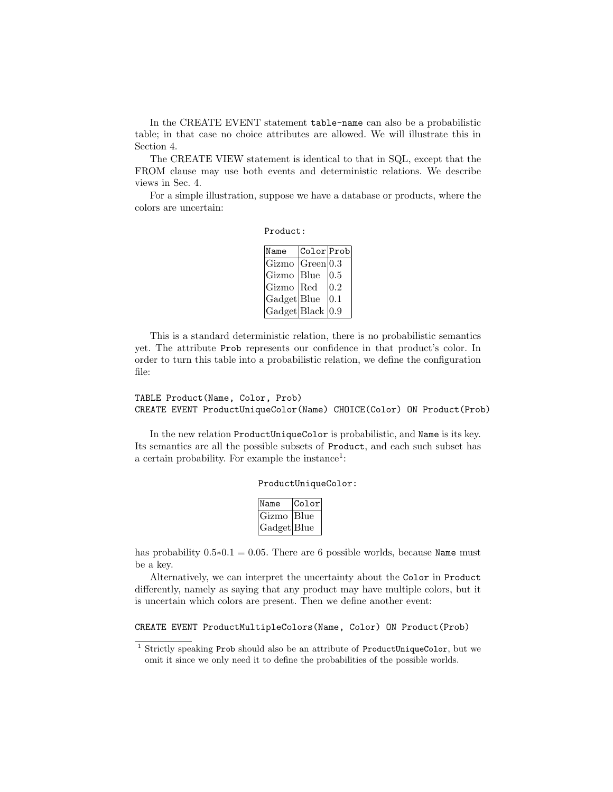In the CREATE EVENT statement table-name can also be a probabilistic table; in that case no choice attributes are allowed. We will illustrate this in Section 4.

The CREATE VIEW statement is identical to that in SQL, except that the FROM clause may use both events and deterministic relations. We describe views in Sec. 4.

For a simple illustration, suppose we have a database or products, where the colors are uncertain:

| Name             | Color Prob |      |
|------------------|------------|------|
| lGizmo           | Green 0.3  |      |
| Gizmo            | Blue       | 0.5  |
| Gizmo Red        |            | 10.2 |
| Gadget Blue      |            | 10.1 |
| Gadget Black 0.9 |            |      |

This is a standard deterministic relation, there is no probabilistic semantics yet. The attribute Prob represents our confidence in that product's color. In order to turn this table into a probabilistic relation, we define the configuration file:

TABLE Product(Name, Color, Prob) CREATE EVENT ProductUniqueColor(Name) CHOICE(Color) ON Product(Prob)

In the new relation ProductUniqueColor is probabilistic, and Name is its key. Its semantics are all the possible subsets of Product, and each such subset has a certain probability. For example the instance<sup>1</sup>:

### ProductUniqueColor:

| Name        | Color |
|-------------|-------|
| Gizmo       | Blue  |
| Gadget Blue |       |

has probability  $0.5*0.1 = 0.05$ . There are 6 possible worlds, because Name must be a key.

Alternatively, we can interpret the uncertainty about the Color in Product differently, namely as saying that any product may have multiple colors, but it is uncertain which colors are present. Then we define another event:

CREATE EVENT ProductMultipleColors(Name, Color) ON Product(Prob)

 $1$  Strictly speaking Prob should also be an attribute of ProductUniqueColor, but we omit it since we only need it to define the probabilities of the possible worlds.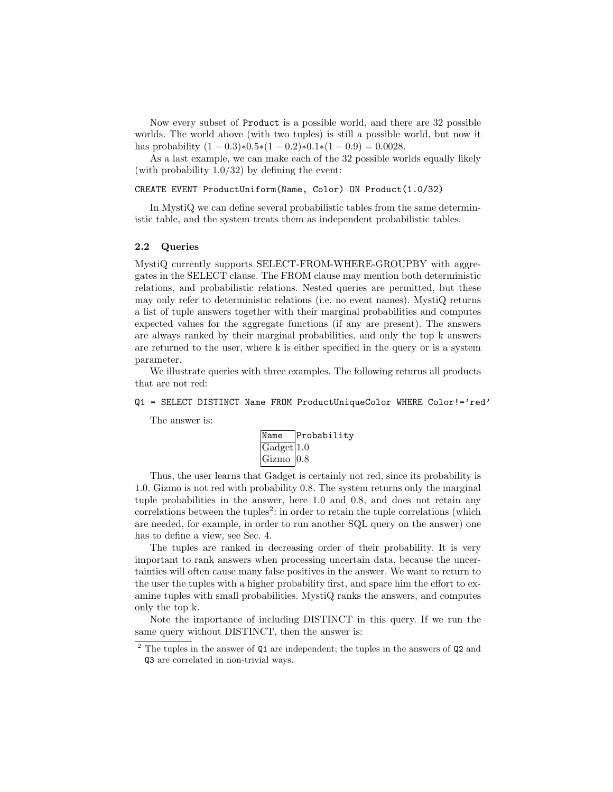Now every subset of Product is a possible world, and there are 32 possible worlds. The world above (with two tuples) is still a possible world, but now it has probability  $(1 - 0.3) * 0.5 * (1 - 0.2) * 0.1 * (1 - 0.9) = 0.0028$ .

As a last example, we can make each of the 32 possible worlds equally likely (with probability  $1.0/32$ ) by defining the event:

### CREATE EVENT ProductUniform(Name, Color) ON Product(1.0/32)

In MystiQ we can define several probabilistic tables from the same deterministic table, and the system treats them as independent probabilistic tables.

## 2.2 Queries

MystiQ currently supports SELECT-FROM-WHERE-GROUPBY with aggregates in the SELECT clause. The FROM clause may mention both deterministic relations, and probabilistic relations. Nested queries are permitted, but these may only refer to deterministic relations (i.e. no event names). MystiQ returns a list of tuple answers together with their marginal probabilities and computes expected values for the aggregate functions (if any are present). The answers are always ranked by their marginal probabilities, and only the top k answers are returned to the user, where k is either specified in the query or is a system parameter.

We illustrate queries with three examples. The following returns all products that are not red:

### Q1 = SELECT DISTINCT Name FROM ProductUniqueColor WHERE Color!='red'

The answer is:

Name Probability Gadget 1.0 Gizmo 0.8

Thus, the user learns that Gadget is certainly not red, since its probability is 1.0. Gizmo is not red with probability 0.8. The system returns only the marginal tuple probabilities in the answer, here 1.0 and 0.8, and does not retain any  $\alpha$  correlations between the tuples<sup>2</sup>: in order to retain the tuple correlations (which are needed, for example, in order to run another SQL query on the answer) one has to define a view, see Sec. 4.

The tuples are ranked in decreasing order of their probability. It is very important to rank answers when processing uncertain data, because the uncertainties will often cause many false positives in the answer. We want to return to the user the tuples with a higher probability first, and spare him the effort to examine tuples with small probabilities. MystiQ ranks the answers, and computes only the top k.

Note the importance of including DISTINCT in this query. If we run the same query without DISTINCT, then the answer is:

 $2$  The tuples in the answer of  $Q1$  are independent; the tuples in the answers of  $Q2$  and Q3 are correlated in non-trivial ways.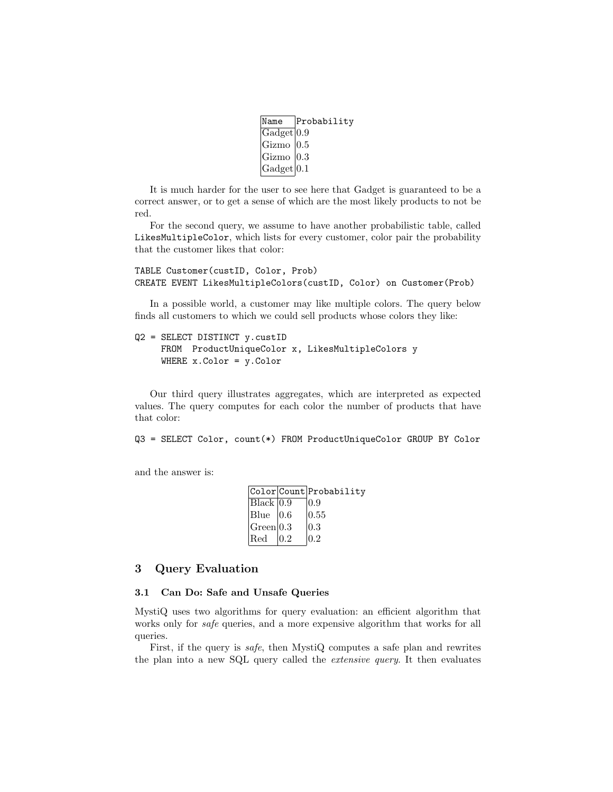```
Name Probability
Gadget 0.9
Gizmo |0.5Gizmo |0.3Gadget|0.1
```
It is much harder for the user to see here that Gadget is guaranteed to be a correct answer, or to get a sense of which are the most likely products to not be red.

For the second query, we assume to have another probabilistic table, called LikesMultipleColor, which lists for every customer, color pair the probability that the customer likes that color:

```
TABLE Customer(custID, Color, Prob)
CREATE EVENT LikesMultipleColors(custID, Color) on Customer(Prob)
```
In a possible world, a customer may like multiple colors. The query below finds all customers to which we could sell products whose colors they like:

```
Q2 = SELECT DISTINCT y.custID
    FROM ProductUniqueColor x, LikesMultipleColors y
    WHERE x.Color = y.Color
```
Our third query illustrates aggregates, which are interpreted as expected values. The query computes for each color the number of products that have that color:

```
Q3 = SELECT Color, count(*) FROM ProductUniqueColor GROUP BY Color
```
and the answer is:

|           |     | Color Count Probability |
|-----------|-----|-------------------------|
| Black 0.9 |     | 0.9                     |
| Blue 0.6  |     | 0.55                    |
| Green 0.3 |     | $\vert 0.3 \vert$       |
| Red       | 0.2 | 0.2                     |

# 3 Query Evaluation

### 3.1 Can Do: Safe and Unsafe Queries

MystiQ uses two algorithms for query evaluation: an efficient algorithm that works only for *safe* queries, and a more expensive algorithm that works for all queries.

First, if the query is safe, then MystiQ computes a safe plan and rewrites the plan into a new SQL query called the extensive query. It then evaluates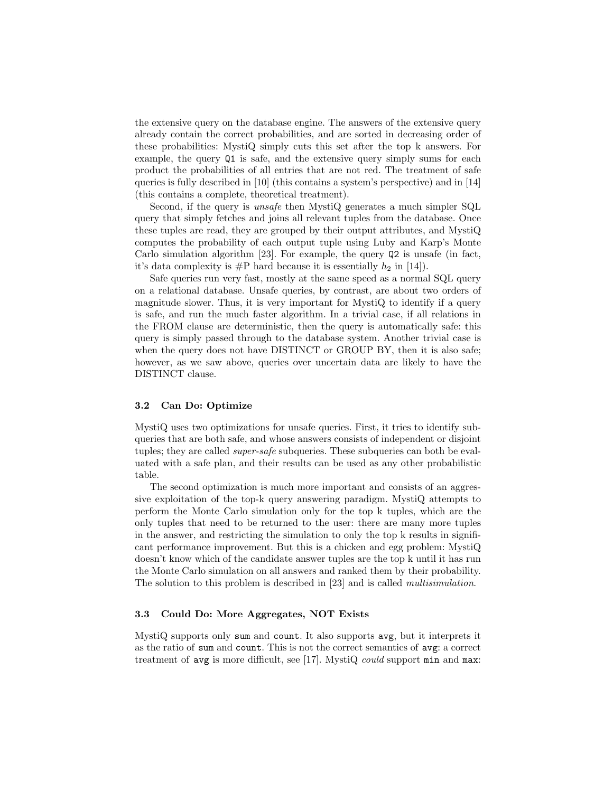the extensive query on the database engine. The answers of the extensive query already contain the correct probabilities, and are sorted in decreasing order of these probabilities: MystiQ simply cuts this set after the top k answers. For example, the query Q1 is safe, and the extensive query simply sums for each product the probabilities of all entries that are not red. The treatment of safe queries is fully described in [10] (this contains a system's perspective) and in [14] (this contains a complete, theoretical treatment).

Second, if the query is unsafe then MystiQ generates a much simpler SQL query that simply fetches and joins all relevant tuples from the database. Once these tuples are read, they are grouped by their output attributes, and MystiQ computes the probability of each output tuple using Luby and Karp's Monte Carlo simulation algorithm [23]. For example, the query Q2 is unsafe (in fact, it's data complexity is  $\#P$  hard because it is essentially  $h_2$  in [14]).

Safe queries run very fast, mostly at the same speed as a normal SQL query on a relational database. Unsafe queries, by contrast, are about two orders of magnitude slower. Thus, it is very important for MystiQ to identify if a query is safe, and run the much faster algorithm. In a trivial case, if all relations in the FROM clause are deterministic, then the query is automatically safe: this query is simply passed through to the database system. Another trivial case is when the query does not have DISTINCT or GROUP BY, then it is also safe; however, as we saw above, queries over uncertain data are likely to have the DISTINCT clause.

#### 3.2 Can Do: Optimize

MystiQ uses two optimizations for unsafe queries. First, it tries to identify subqueries that are both safe, and whose answers consists of independent or disjoint tuples; they are called *super-safe* subqueries. These subqueries can both be evaluated with a safe plan, and their results can be used as any other probabilistic table.

The second optimization is much more important and consists of an aggressive exploitation of the top-k query answering paradigm. MystiQ attempts to perform the Monte Carlo simulation only for the top k tuples, which are the only tuples that need to be returned to the user: there are many more tuples in the answer, and restricting the simulation to only the top k results in significant performance improvement. But this is a chicken and egg problem: MystiQ doesn't know which of the candidate answer tuples are the top k until it has run the Monte Carlo simulation on all answers and ranked them by their probability. The solution to this problem is described in [23] and is called multisimulation.

#### 3.3 Could Do: More Aggregates, NOT Exists

MystiQ supports only sum and count. It also supports avg, but it interprets it as the ratio of sum and count. This is not the correct semantics of avg: a correct treatment of avg is more difficult, see [17]. MystiQ could support min and max: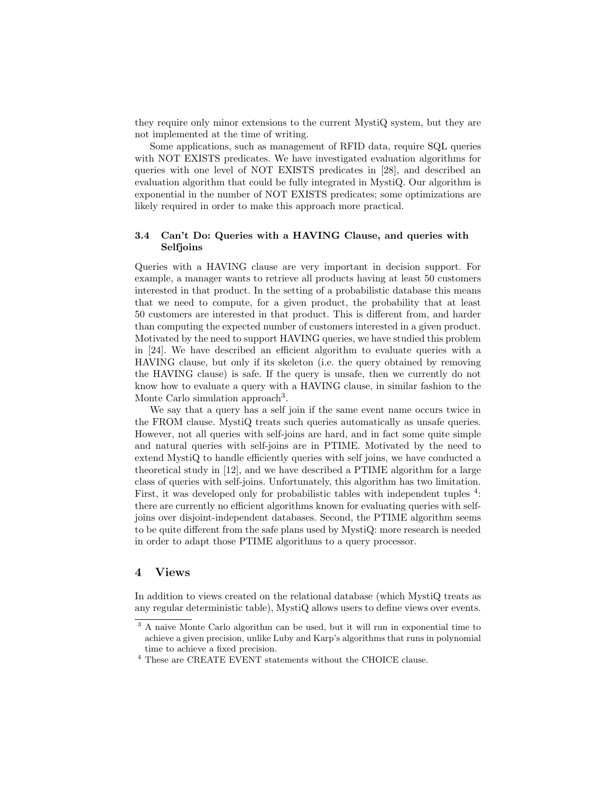they require only minor extensions to the current MystiQ system, but they are not implemented at the time of writing.

Some applications, such as management of RFID data, require SQL queries with NOT EXISTS predicates. We have investigated evaluation algorithms for queries with one level of NOT EXISTS predicates in [28], and described an evaluation algorithm that could be fully integrated in MystiQ. Our algorithm is exponential in the number of NOT EXISTS predicates; some optimizations are likely required in order to make this approach more practical.

### 3.4 Can't Do: Queries with a HAVING Clause, and queries with Selfjoins

Queries with a HAVING clause are very important in decision support. For example, a manager wants to retrieve all products having at least 50 customers interested in that product. In the setting of a probabilistic database this means that we need to compute, for a given product, the probability that at least 50 customers are interested in that product. This is different from, and harder than computing the expected number of customers interested in a given product. Motivated by the need to support HAVING queries, we have studied this problem in [24]. We have described an efficient algorithm to evaluate queries with a HAVING clause, but only if its skeleton (i.e. the query obtained by removing the HAVING clause) is safe. If the query is unsafe, then we currently do not know how to evaluate a query with a HAVING clause, in similar fashion to the Monte Carlo simulation approach<sup>3</sup>.

We say that a query has a self join if the same event name occurs twice in the FROM clause. MystiQ treats such queries automatically as unsafe queries. However, not all queries with self-joins are hard, and in fact some quite simple and natural queries with self-joins are in PTIME. Motivated by the need to extend MystiQ to handle efficiently queries with self joins, we have conducted a theoretical study in [12], and we have described a PTIME algorithm for a large class of queries with self-joins. Unfortunately, this algorithm has two limitation. First, it was developed only for probabilistic tables with independent tuples  $4$ : there are currently no efficient algorithms known for evaluating queries with selfjoins over disjoint-independent databases. Second, the PTIME algorithm seems to be quite different from the safe plans used by MystiQ: more research is needed in order to adapt those PTIME algorithms to a query processor.

### 4 Views

In addition to views created on the relational database (which MystiQ treats as any regular deterministic table), MystiQ allows users to define views over events.

<sup>3</sup> A naive Monte Carlo algorithm can be used, but it will run in exponential time to achieve a given precision, unlike Luby and Karp's algorithms that runs in polynomial time to achieve a fixed precision.

 $^4$  These are CREATE EVENT statements without the CHOICE clause.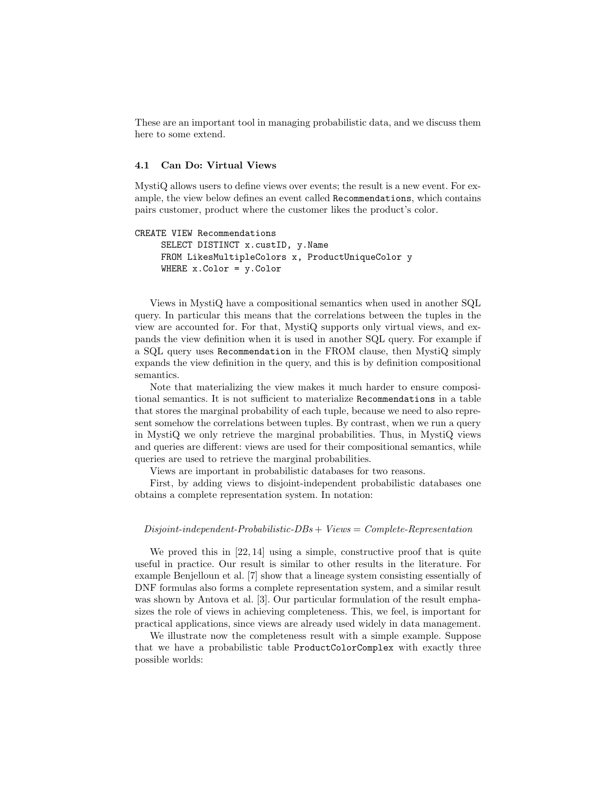These are an important tool in managing probabilistic data, and we discuss them here to some extend.

### 4.1 Can Do: Virtual Views

MystiQ allows users to define views over events; the result is a new event. For example, the view below defines an event called Recommendations, which contains pairs customer, product where the customer likes the product's color.

```
CREATE VIEW Recommendations
    SELECT DISTINCT x.custID, y.Name
    FROM LikesMultipleColors x, ProductUniqueColor y
    WHERE x.Color = y.Color
```
Views in MystiQ have a compositional semantics when used in another SQL query. In particular this means that the correlations between the tuples in the view are accounted for. For that, MystiQ supports only virtual views, and expands the view definition when it is used in another SQL query. For example if a SQL query uses Recommendation in the FROM clause, then MystiQ simply expands the view definition in the query, and this is by definition compositional semantics.

Note that materializing the view makes it much harder to ensure compositional semantics. It is not sufficient to materialize Recommendations in a table that stores the marginal probability of each tuple, because we need to also represent somehow the correlations between tuples. By contrast, when we run a query in MystiQ we only retrieve the marginal probabilities. Thus, in MystiQ views and queries are different: views are used for their compositional semantics, while queries are used to retrieve the marginal probabilities.

Views are important in probabilistic databases for two reasons.

First, by adding views to disjoint-independent probabilistic databases one obtains a complete representation system. In notation:

### $Disjoint-independent-Probabilistic-DBs + Views = Complete-Representation$

We proved this in  $[22, 14]$  using a simple, constructive proof that is quite useful in practice. Our result is similar to other results in the literature. For example Benjelloun et al. [7] show that a lineage system consisting essentially of DNF formulas also forms a complete representation system, and a similar result was shown by Antova et al. [3]. Our particular formulation of the result emphasizes the role of views in achieving completeness. This, we feel, is important for practical applications, since views are already used widely in data management.

We illustrate now the completeness result with a simple example. Suppose that we have a probabilistic table ProductColorComplex with exactly three possible worlds: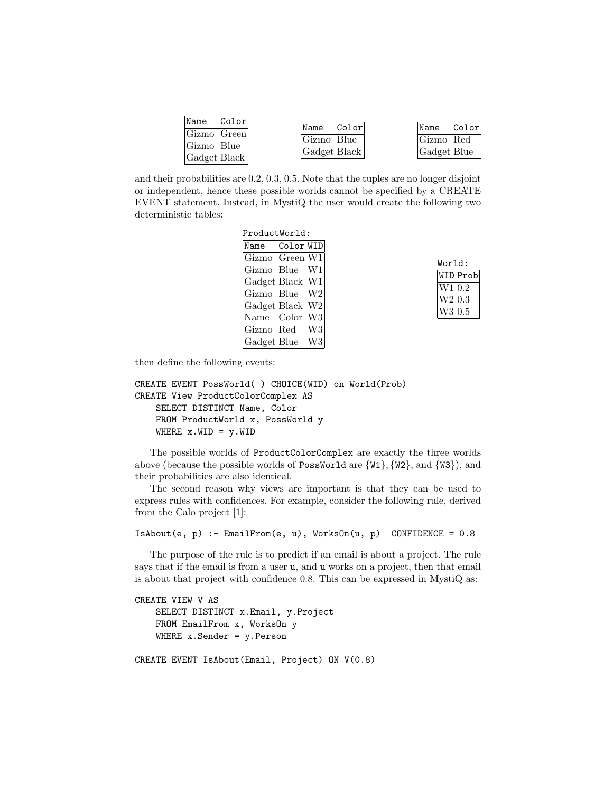| Name                      | $ $ Color $ $ |                     |               |             |           |
|---------------------------|---------------|---------------------|---------------|-------------|-----------|
|                           |               | Name                | $ $ Color $ $ | Name        | $ $ Color |
| Gizmo Green               |               | Gizmo  Blue         |               | Gizmo Red   |           |
| Gizmo Blue                |               | $ G_{adget} Black $ |               |             |           |
| G <sub>adget</sub>  Black |               |                     |               | Gadget Blue |           |

and their probabilities are 0.2, 0.3, 0.5. Note that the tuples are no longer disjoint or independent, hence these possible worlds cannot be specified by a CREATE EVENT statement. Instead, in MystiQ the user would create the following two deterministic tables:

| ProductWorld:   |          |                |  |  |
|-----------------|----------|----------------|--|--|
| Name            | ColorWID |                |  |  |
| Gizmo           | Green W1 |                |  |  |
| Gizmo           | Blue     | W1             |  |  |
| Gadget Black W1 |          |                |  |  |
| Gizmo  Blue     |          | W2             |  |  |
| Gadget Black    |          | W <sub>2</sub> |  |  |
| Name            | Color    | W3             |  |  |
| Gizmo           | Red      | W3             |  |  |
| Gadget Blue     |          | VЗ             |  |  |

| World:                                      |                    |  |
|---------------------------------------------|--------------------|--|
|                                             | $\bar{[WID]}$ Prob |  |
| $\frac{\text{W1}}{\text{W}}$ <sup>0.2</sup> |                    |  |
| W2 0.3                                      |                    |  |
| W3 0.5                                      |                    |  |

then define the following events:

```
CREATE EVENT PossWorld( ) CHOICE(WID) on World(Prob)
CREATE View ProductColorComplex AS
   SELECT DISTINCT Name, Color
   FROM ProductWorld x, PossWorld y
    WHERE x.WID = y.WID
```
The possible worlds of ProductColorComplex are exactly the three worlds above (because the possible worlds of PossWorld are  $\{W1\}$ ,  $\{W2\}$ , and  $\{W3\}$ ), and their probabilities are also identical.

The second reason why views are important is that they can be used to express rules with confidences. For example, consider the following rule, derived from the Calo project [1]:

 $IsAbout(e, p) :- EmailFrom(e, u), Workshop (u, p) CONFIDENCE = 0.8$ 

The purpose of the rule is to predict if an email is about a project. The rule says that if the email is from a user u, and u works on a project, then that email is about that project with confidence 0.8. This can be expressed in MystiQ as:

```
CREATE VIEW V AS
    SELECT DISTINCT x.Email, y.Project
   FROM EmailFrom x, WorksOn y
    WHERE x.Sender = y.Person
CREATE EVENT IsAbout(Email, Project) ON V(0.8)
```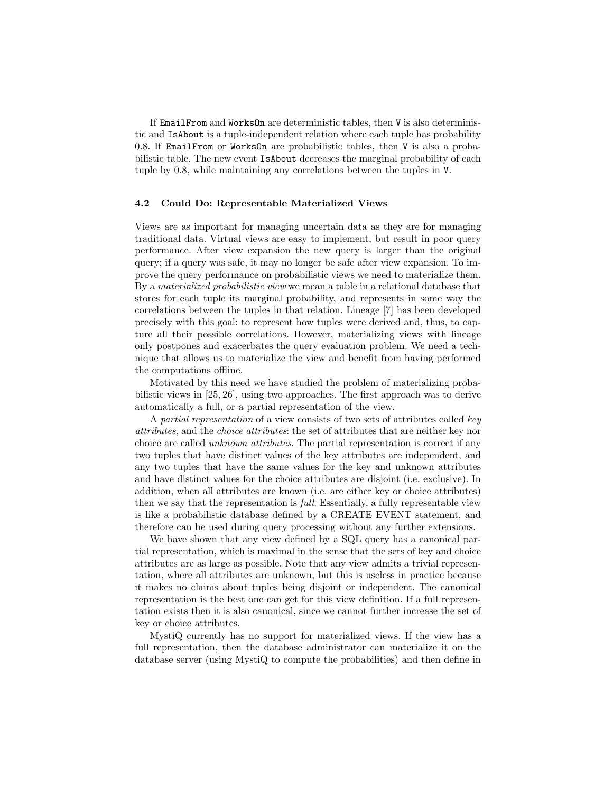If EmailFrom and WorksOn are deterministic tables, then V is also deterministic and IsAbout is a tuple-independent relation where each tuple has probability 0.8. If EmailFrom or WorksOn are probabilistic tables, then V is also a probabilistic table. The new event IsAbout decreases the marginal probability of each tuple by 0.8, while maintaining any correlations between the tuples in V.

### 4.2 Could Do: Representable Materialized Views

Views are as important for managing uncertain data as they are for managing traditional data. Virtual views are easy to implement, but result in poor query performance. After view expansion the new query is larger than the original query; if a query was safe, it may no longer be safe after view expansion. To improve the query performance on probabilistic views we need to materialize them. By a materialized probabilistic view we mean a table in a relational database that stores for each tuple its marginal probability, and represents in some way the correlations between the tuples in that relation. Lineage [7] has been developed precisely with this goal: to represent how tuples were derived and, thus, to capture all their possible correlations. However, materializing views with lineage only postpones and exacerbates the query evaluation problem. We need a technique that allows us to materialize the view and benefit from having performed the computations offline.

Motivated by this need we have studied the problem of materializing probabilistic views in [25, 26], using two approaches. The first approach was to derive automatically a full, or a partial representation of the view.

A partial representation of a view consists of two sets of attributes called key attributes, and the choice attributes: the set of attributes that are neither key nor choice are called unknown attributes. The partial representation is correct if any two tuples that have distinct values of the key attributes are independent, and any two tuples that have the same values for the key and unknown attributes and have distinct values for the choice attributes are disjoint (i.e. exclusive). In addition, when all attributes are known (i.e. are either key or choice attributes) then we say that the representation is full. Essentially, a fully representable view is like a probabilistic database defined by a CREATE EVENT statement, and therefore can be used during query processing without any further extensions.

We have shown that any view defined by a SQL query has a canonical partial representation, which is maximal in the sense that the sets of key and choice attributes are as large as possible. Note that any view admits a trivial representation, where all attributes are unknown, but this is useless in practice because it makes no claims about tuples being disjoint or independent. The canonical representation is the best one can get for this view definition. If a full representation exists then it is also canonical, since we cannot further increase the set of key or choice attributes.

MystiQ currently has no support for materialized views. If the view has a full representation, then the database administrator can materialize it on the database server (using MystiQ to compute the probabilities) and then define in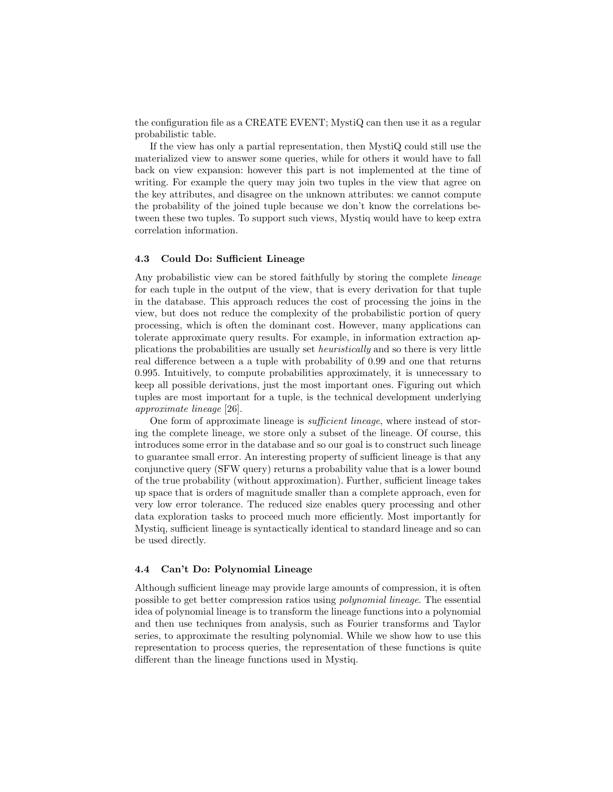the configuration file as a CREATE EVENT; MystiQ can then use it as a regular probabilistic table.

If the view has only a partial representation, then MystiQ could still use the materialized view to answer some queries, while for others it would have to fall back on view expansion: however this part is not implemented at the time of writing. For example the query may join two tuples in the view that agree on the key attributes, and disagree on the unknown attributes: we cannot compute the probability of the joined tuple because we don't know the correlations between these two tuples. To support such views, Mystiq would have to keep extra correlation information.

### 4.3 Could Do: Sufficient Lineage

Any probabilistic view can be stored faithfully by storing the complete *lineage* for each tuple in the output of the view, that is every derivation for that tuple in the database. This approach reduces the cost of processing the joins in the view, but does not reduce the complexity of the probabilistic portion of query processing, which is often the dominant cost. However, many applications can tolerate approximate query results. For example, in information extraction applications the probabilities are usually set heuristically and so there is very little real difference between a a tuple with probability of 0.99 and one that returns 0.995. Intuitively, to compute probabilities approximately, it is unnecessary to keep all possible derivations, just the most important ones. Figuring out which tuples are most important for a tuple, is the technical development underlying approximate lineage [26].

One form of approximate lineage is sufficient lineage, where instead of storing the complete lineage, we store only a subset of the lineage. Of course, this introduces some error in the database and so our goal is to construct such lineage to guarantee small error. An interesting property of sufficient lineage is that any conjunctive query (SFW query) returns a probability value that is a lower bound of the true probability (without approximation). Further, sufficient lineage takes up space that is orders of magnitude smaller than a complete approach, even for very low error tolerance. The reduced size enables query processing and other data exploration tasks to proceed much more efficiently. Most importantly for Mystiq, sufficient lineage is syntactically identical to standard lineage and so can be used directly.

### 4.4 Can't Do: Polynomial Lineage

Although sufficient lineage may provide large amounts of compression, it is often possible to get better compression ratios using polynomial lineage. The essential idea of polynomial lineage is to transform the lineage functions into a polynomial and then use techniques from analysis, such as Fourier transforms and Taylor series, to approximate the resulting polynomial. While we show how to use this representation to process queries, the representation of these functions is quite different than the lineage functions used in Mystiq.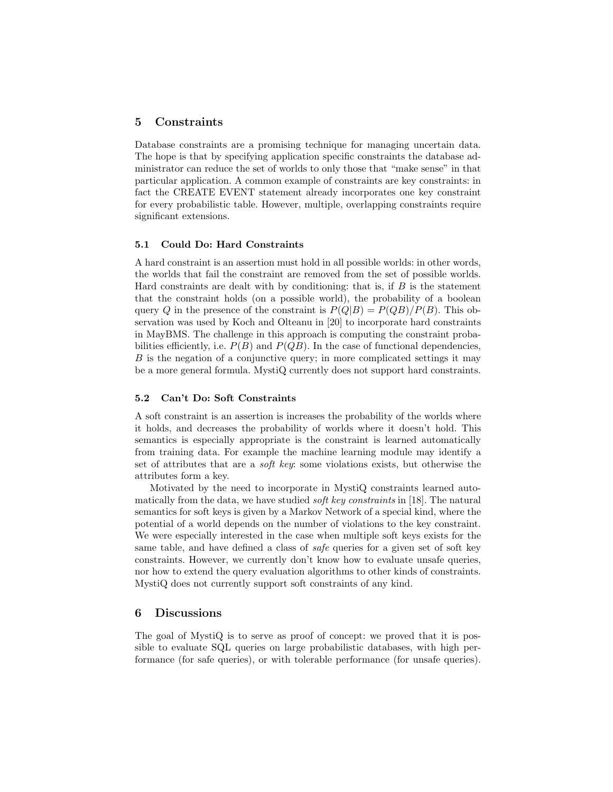### 5 Constraints

Database constraints are a promising technique for managing uncertain data. The hope is that by specifying application specific constraints the database administrator can reduce the set of worlds to only those that "make sense" in that particular application. A common example of constraints are key constraints: in fact the CREATE EVENT statement already incorporates one key constraint for every probabilistic table. However, multiple, overlapping constraints require significant extensions.

#### 5.1 Could Do: Hard Constraints

A hard constraint is an assertion must hold in all possible worlds: in other words, the worlds that fail the constraint are removed from the set of possible worlds. Hard constraints are dealt with by conditioning: that is, if  $B$  is the statement that the constraint holds (on a possible world), the probability of a boolean query Q in the presence of the constraint is  $P(Q|B) = P(QB)/P(B)$ . This observation was used by Koch and Olteanu in [20] to incorporate hard constraints in MayBMS. The challenge in this approach is computing the constraint probabilities efficiently, i.e.  $P(B)$  and  $P(QB)$ . In the case of functional dependencies, B is the negation of a conjunctive query; in more complicated settings it may be a more general formula. MystiQ currently does not support hard constraints.

### 5.2 Can't Do: Soft Constraints

A soft constraint is an assertion is increases the probability of the worlds where it holds, and decreases the probability of worlds where it doesn't hold. This semantics is especially appropriate is the constraint is learned automatically from training data. For example the machine learning module may identify a set of attributes that are a soft key: some violations exists, but otherwise the attributes form a key.

Motivated by the need to incorporate in MystiQ constraints learned automatically from the data, we have studied soft key constraints in [18]. The natural semantics for soft keys is given by a Markov Network of a special kind, where the potential of a world depends on the number of violations to the key constraint. We were especially interested in the case when multiple soft keys exists for the same table, and have defined a class of safe queries for a given set of soft key constraints. However, we currently don't know how to evaluate unsafe queries, nor how to extend the query evaluation algorithms to other kinds of constraints. MystiQ does not currently support soft constraints of any kind.

### 6 Discussions

The goal of MystiQ is to serve as proof of concept: we proved that it is possible to evaluate SQL queries on large probabilistic databases, with high performance (for safe queries), or with tolerable performance (for unsafe queries).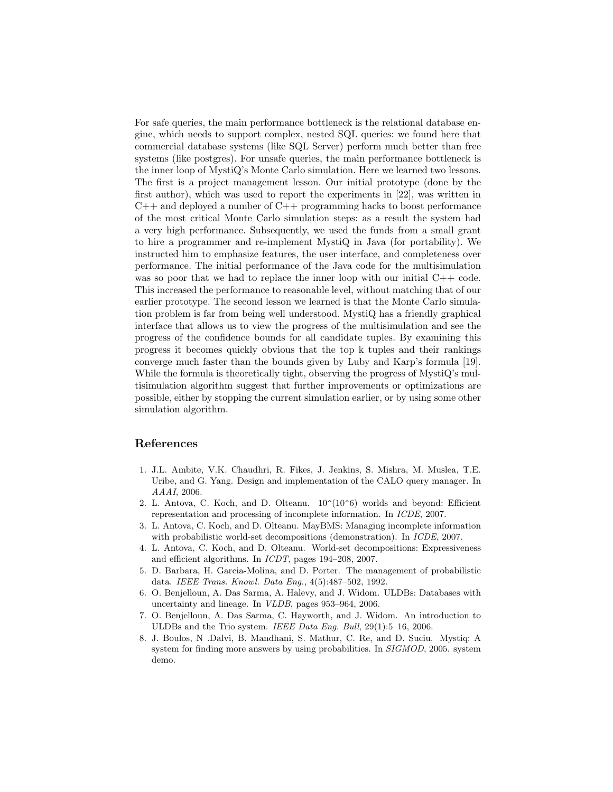For safe queries, the main performance bottleneck is the relational database engine, which needs to support complex, nested SQL queries: we found here that commercial database systems (like SQL Server) perform much better than free systems (like postgres). For unsafe queries, the main performance bottleneck is the inner loop of MystiQ's Monte Carlo simulation. Here we learned two lessons. The first is a project management lesson. Our initial prototype (done by the first author), which was used to report the experiments in [22], was written in  $C++$  and deployed a number of  $C++$  programming hacks to boost performance of the most critical Monte Carlo simulation steps: as a result the system had a very high performance. Subsequently, we used the funds from a small grant to hire a programmer and re-implement MystiQ in Java (for portability). We instructed him to emphasize features, the user interface, and completeness over performance. The initial performance of the Java code for the multisimulation was so poor that we had to replace the inner loop with our initial C++ code. This increased the performance to reasonable level, without matching that of our earlier prototype. The second lesson we learned is that the Monte Carlo simulation problem is far from being well understood. MystiQ has a friendly graphical interface that allows us to view the progress of the multisimulation and see the progress of the confidence bounds for all candidate tuples. By examining this progress it becomes quickly obvious that the top k tuples and their rankings converge much faster than the bounds given by Luby and Karp's formula [19]. While the formula is theoretically tight, observing the progress of MystiQ's multisimulation algorithm suggest that further improvements or optimizations are possible, either by stopping the current simulation earlier, or by using some other simulation algorithm.

### References

- 1. J.L. Ambite, V.K. Chaudhri, R. Fikes, J. Jenkins, S. Mishra, M. Muslea, T.E. Uribe, and G. Yang. Design and implementation of the CALO query manager. In AAAI, 2006.
- 2. L. Antova, C. Koch, and D. Olteanu.  $10^{\circ}(10^{\circ}6)$  worlds and beyond: Efficient representation and processing of incomplete information. In ICDE, 2007.
- 3. L. Antova, C. Koch, and D. Olteanu. MayBMS: Managing incomplete information with probabilistic world-set decompositions (demonstration). In *ICDE*, 2007.
- 4. L. Antova, C. Koch, and D. Olteanu. World-set decompositions: Expressiveness and efficient algorithms. In ICDT, pages 194–208, 2007.
- 5. D. Barbara, H. Garcia-Molina, and D. Porter. The management of probabilistic data. IEEE Trans. Knowl. Data Eng., 4(5):487–502, 1992.
- 6. O. Benjelloun, A. Das Sarma, A. Halevy, and J. Widom. ULDBs: Databases with uncertainty and lineage. In VLDB, pages 953–964, 2006.
- 7. O. Benjelloun, A. Das Sarma, C. Hayworth, and J. Widom. An introduction to ULDBs and the Trio system. IEEE Data Eng. Bull, 29(1):5–16, 2006.
- 8. J. Boulos, N .Dalvi, B. Mandhani, S. Mathur, C. Re, and D. Suciu. Mystiq: A system for finding more answers by using probabilities. In SIGMOD, 2005. system demo.